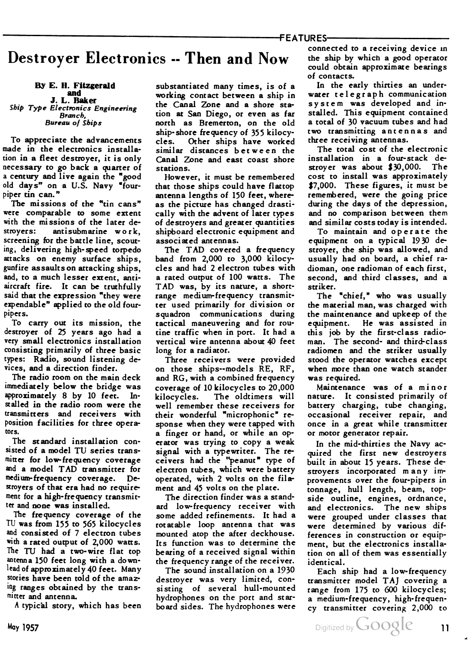## Destroyer Electronics -- Then and Now

By E. H. Fitzgerald<br>and<br>J. L. Baker

Ship Type Electronics Engineering Branch, Bureau of Ships

To appreciate the advancements made in the electronics installation in a fleet destroyer, it is only necessary to go back a quarter of a century and live again the "good old days" on a U.S. Navy "fourpiper tin can."

The missions of the "tin cans" were comparable to some extent with the missions of the later de stroyers: antisubmarine work, screening for the battle line, scout ing, delivering high-speed torpedo attacks on enemy surface ships, gunfire assaults on attacking ships, and, to a much lesser extent, antiaircraft fire. It can be truthfully said that the expression "they were expendable" applied to the old fourpipers.

To carry out its mission, the destroyer of 25 years ago had a very small electronics installation consisting primarily of three basic types: Radio, sound listening de vices, and a direction finder.

The radio room on the main deck immediately below the bridge was approximately 8 by 10 feet. In stalled in the radio room were the transmitters and receivers with position facilities for three opera tors.

The standard installation con sisted of <sup>a</sup> model TU series trans mitter for low-frequency coverage and <sup>a</sup> model TAD transmitter for medium- frequency coverage. De stroyers of that era had no require ment for a high-frequency transmit ter and none was installed.

The frequency coverage of the TU was from 155 to 565 kilocycles and consisted of 7 electron tubes with a rated output of 2,000 watts. The TU had a two- wire flat top antenna 150 feet long with a down lead of approximately 40 feet. Many stories have been told of the amaz ing ranges obtained by the trans mitter and antenna.

A typical story, which has been

substantiated many times, is of a working contact between a ship in the Canal Zone and a shore sta tion at San Diego, or even as far north as Bremerton, on the old ship- shore frequency of 355 kilocy cles. Other ships have worked similar distances between the Canal Zone and east coast shore stations.

However, it must be remembered that those ships could have flattop antenna lengths of 150 feet, where as the picture has changed drasti cally with the advent of later types of destroyers and greater quantities shipboard electronic equipment and associated antennas.

The TAD covered a frequency band from 2,000 to 3,000 kilocycles and had 2 electron tubes with a rated output of 100 watts. The TAD was, by its nature, <sup>a</sup> shortrange medium-frequency transmit ter used primarily for division or squadron communications during tactical maneuvering and for rou tine traffic when in port. It had a vertical wire antenna about 40 feet long for a radiator.

Three receivers were provided on those ships—models RE, RF, and RG, with a combined frequency coverage of 10 kilocycles to 20,000 kilocycles. The oldtimers will well remember these receivers for their wonderful "microphonic" re sponse when they were tapped with a finger or hand, or while an op erator was trying to copy a weak signal with a typewriter. The re ceivers had the "peanut" type of electron tubes, which were battery operated, with 2 volts on the fila ment and 45 volts on the plate.

The direction finder was a stand ard low-frequency receiver with some added refinements. It had a rotatable loop antenna that was mounted atop the after deckhouse. Its function was to determine the bearing of a received signal within the frequency range of the receiver.

The sound installation on a 1930 destroyer was very limited, con sisting of several hull-mounted hydrophones on the port and star board sides. The hydrophones were

connected to a receiving device in the ship by which a good operator could obtain approximate bearings of contacts.

In the early thirties an under water telegraph communication system was developed and in stalled. This equipment contained a total of 30 vacuum tubes and had two transmitting antennas and three receiving antennas.

The total cost of the electronic installation in a four-stack de stroyer was about \$30,000. The cost to install was approximately \$7,000. These figures, it must be remembered, were the going price during the days of the depression, and no comparison between them and similar costs today is intended.

To maintain and operate the equipment on a typical 1930 de stroyer, the ship was allowed, and usually had on board, a chief ra dioman, one radioman of each first, second, and third classes, and a striker.

The "chief," who was usually the material man, was charged with the maintenance and upkeep of the equipment. He was assisted in this job by the first-class radio man. The second- and third-class radiomen and the striker usually stood the operator watches except when more than one watch stander was required.

Maintenance was of a minor nature. It consisted primarily of battery charging, tube changing, occasional receiver repair, and once in a great while transmitter or motor generator repair.

In the mid-thirties the Navy ac quired the first new destroyers built in about 15 years. These de stroyers incorporated many im provements over the four-pipers in tonnage, hull length, beam, top side outline, engines, ordnance, and electronics. The new ships were grouped under classes that were determined by various dif ferences in construction or equip ment, but the electronics installa tion on all of them was essentially identical.

Each ship had a low-frequency transmitter model TAJ covering a range from 175 to 600 kilocycles; a medium-frequency, high-frequen cy transmitter covering 2,000 to

May 1957 <sup>11</sup>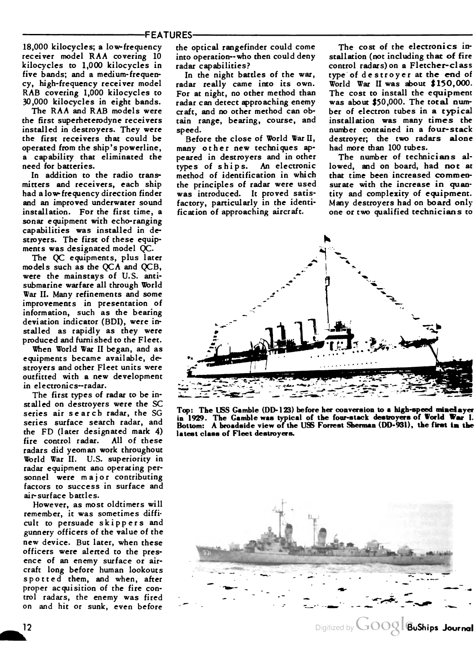18,000 kilocycles; a low-frequency receiver model RAA covering <sup>10</sup> kilocycles to 1,000 kilocycles in five bands; and a medium-frequen cy, high-frequency receiver model RAB covering 1,000 kilocycles to 30,000 kilocycles in eight bands.

The RAA and RAB models were the first superheterodyne receivers installed in destroyers. They were the first receivers that could be operated from the ship's powerline, a capability that eliminated the need for batteries.

In addition to the radio trans mitters and receivers, each ship had a low-frequency direction finder and an improved underwater sound installation. For the first time, a sonar equipment with echo-ranging capabilities was installed in de stroyers. The first of these equip ments was designated model QC.

The QC equipments, plus later models such as the QCA and QCB, were the mainstays of U.S. anti submarine warfare all through World War II. Many refinements and some improvements in presentation of information, such as the bearing deviation indicator (BDI), were in stalled as rapidly as they were produced and furnished to the Fleet.

When World War II began, and as equipments became available, de stroyers and other Fleet units were outfitted with a new development in electronics—radar.

The first types of radar to be in stalled on destroyers were the SC series air search radar, the SG series surface search radar, and the FD (later designated mark 4) fire control radar. All of these radars did yeoman work throughout World War II. U.S. superiority in radar equipment ana operating per sonnel were major contributing factors to success in surface and air-surface battles.

However, as most oldtimers will remember, it was sometimes diffi cult to persuade skippers and gunnery officers of the value of the new device. But later, when these officers were alerted to the pres ence of an enemy surface or air craft long before human lookouts spotted them, and when, after proper acquisition of the fire con trol radars, the enemy was fired on and hit or sunk, even before

the optical rangefinder could come into operation— who then could deny radar capabilities?

In the night battles of the war, radar really came into its own. For at night, no other method than radar can detect approaching enemy craft, and no other method can ob tain range, bearing, course, and

speed. Before the close of World War II, many other new techniques ap peared in destroyers and in other types of ships. An electronic method of identification in which the principles of radar were used was introduced. It proved satis factory, particularly in the identi fication of approaching aircraft.

The cost of the electronics in stallation (not including that of fire control radars) on a Fletcher-class type of destroyer at the end of World War II was about \$ 150,000. The cost to install the equipment was about \$50,000. The total number of electron tubes in a typical installation was many times the number contained in a four-stack destroyer; the two radars alone had more than 100 tubes.

The number of technicians al lowed, and on board, had not at that time been increased commen surate with the increase in quantity and complexity of equipment. Many destroyers had on board only one or two qualified technicians to



Top: The USS Gamble (DD-123) before her conversion to a high-speed minelayer in 1929. The Gamble was typical of the four-stack destroyers of World War I. in 1929. The Gamble was typical of the four-stack desiroyers of world war i.<br>Bottom: A broadside view of the USS Forrest Sherman (DD-931), the first in the latest class of Fleet destroyers.

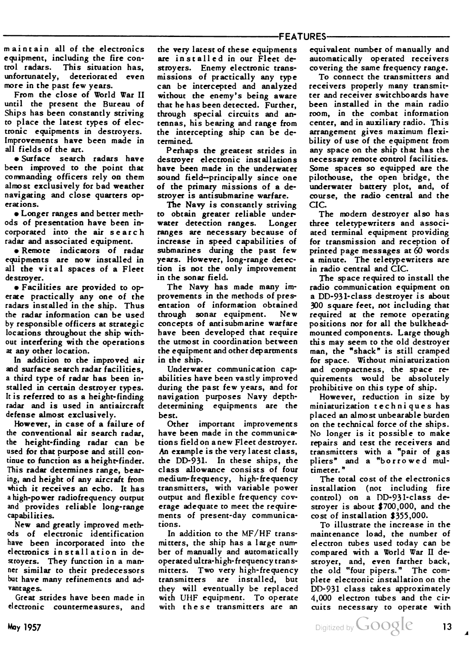maintain all of the electronics equipment, including the fire control radars. This situation has, unfortunately, deteriorated even more in the past few years.

From the close of World War II until the present the Bureau of Ships has been constantly striving to place the latest types of elec tronic equipments in destroyers. Improvements have been made in all fields of the art.

• Surface search radars have been improved to the point that commanding officers rely on them almost exclusively for bad weather navigating and close quarters op erations.

• Longer ranges and better meth ods of presentation have been in corporated into the air search radar and associated equipment.

• Remote indicators of radar equipments are now installed in all the vital spaces of a Fleet destroyer.

• Facilities are provided to op erate practically any one of the radars installed in the ship. Thus the radar information can be used by responsible officers at strategic locations throughout the ship with out interfering with the operations at any other location.

In addition to the improved air and surface search radar facilities, a third type of radar has been in stalled in certain destroyer types. It is referred to as a height- finding radar and is used in antiaircraft defense almost exclusively.

However, in case of a failure of the conventional air search radar, the height-finding radar can be used for that purpose and still con tinue to function as a height-finder. This radar determines range, bear ing, and height of any aircraft from which it receives an echo. It has <sup>a</sup> high-power radiofrequency output and provides reliable long-range capabilities.

New and greatly improved meth ods of electronic identification have been incorporated into the electronics installation in de stroyers. They function in a man ner similar to their predecessors but have many refinements and ad vantages.

Great strides have been made in electronic countermeasures, and the very latest of these equipments are installed in our Fleet de stroyers. Enemy electronic trans missions of practically any type can be intercepted and analyzed without the enemy's being aware that he has been detected. Further, through special circuits and an tennas, his bearing and range from the intercepting ship can be de termined.

Perhaps the greatest strides in destroyer electronic installations have been made in the underwater sound field—principally since one of the primary missions of a de stroyer is antisubmarine warfare.

The Navy is constantly striving to obtain greater reliable under water detection ranges. Longer ranges are necessary because of increase in speed capabilities of submarines during the past few years. However, long-range detec tion is not the only improvement in the sonar field.

The Navy has made many im provements in the methods of pres entation of information obtained through sonar equipment. New concepts of antisubmarine warfare have been developed that require the utmost in coordination between the equipment and other departments in the ship.

Underwater communication cap abilities have been vastly improved during the past few years, and for navigation purposes Navy depthdetermining equipments are the best.

Other important improvements have been made in the communica tions field on anew Fleet destroyer. An example is the very latest class, the DD-931. In these ships, the class allowance consists of four medium-frequency, high-frequency transmitters, with variable power output and flexible frequency cov erage adequate to meet the require ments of present-day communica tions.

In addition to the MF/HF trans mitters, the ship has a large num ber of manually and automatically operated ultra-high-frequency trans mitters. Two very high-frequency transmitters are installed, but they will eventually be replaced with UHF equipment. To operate with these transmitters are an

equivalent number of manually and automatically operated receivers covering the same frequency range.

To connect the transmitters and receivers properly many transmit ter and receiver switchboards have been installed in the main radio room, in the combat information center, and in auxiliary radio. This arrangement gives maximum flexi bility of use of the equipment from any space on the ship that has the necessary remote control facilities. Some spaces so equipped are the pilothouse, the open bridge, the underwater battery plot, and, of course, the radio central and the CIC.

The modern destroyer also has three teletypewriters and associ ated terminal equipment providing for transmission and reception of printed page messages at  $60$  words a minute. The teletypewriters are in radio central and CIC.

The space required to install the radio communication equipment on a DD-931-class destroyer is about 300 square feet, not including that required at the remote operating positions nor for all the bulkheadmounted components. Large though this may seem to the old destroyer man, the "shack" is still cramped for space. Without miniaturization and compactness, the space re quirements would be absolutely prohibitive on this type of ship.

However, reduction in size by miniaturization techniques has placed an almost unbearable burden on the technical force of the ships. No longer is it possible to make repairs and test the receivers and transmitters with a "pair of gas pliers" and <sup>a</sup> "borrowed mul timeter. "

The total cost of the electronics installation (not including fire control) on a DD-931-class destroyer is about \$700,000, and the cost of installation \$355,000.

To illustrate the increase in the maintenance load, the number of electron tubes used today can be compared with a World War II de stroyer, and, even farther back, the old "four pipers." The com plete electronic installation on the DD-931 class takes approximately 4,000 electron tubes and the cir cuits necessary to operate with

May 1957 **13** Digitized by  $\bigcup$   $\text{OOQIC}$  13